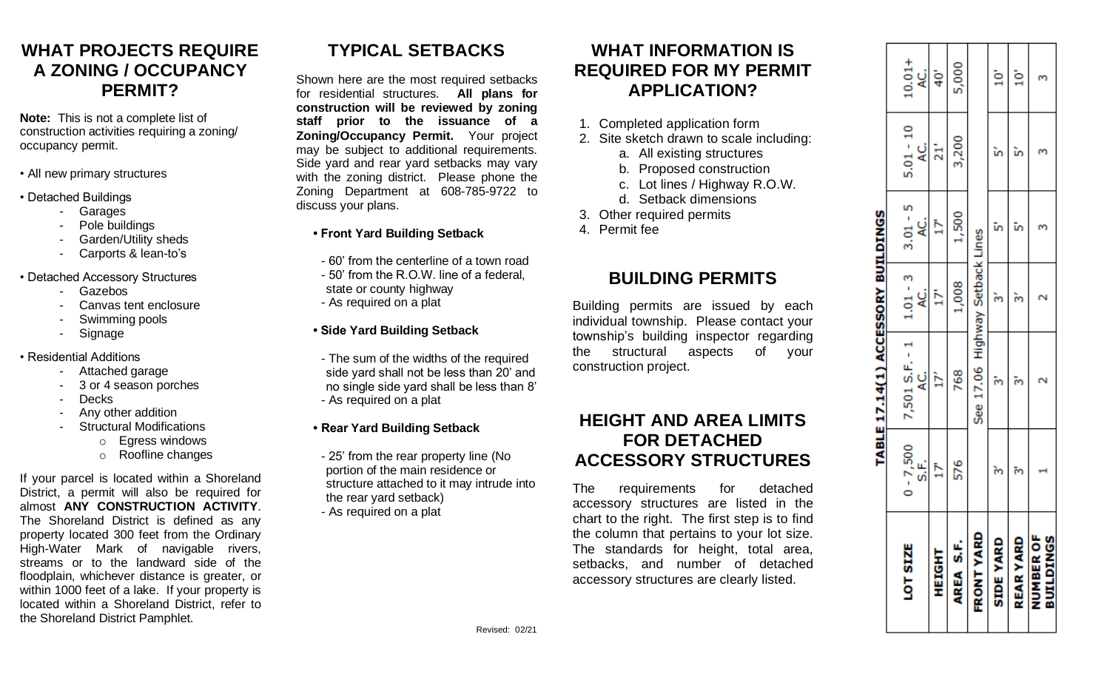#### **WHAT PROJECTS REQUIRE A ZONING / OCCUPANCY PERMIT?**

**Note:** This is not a complete list of construction activities requiring a zoning/ occupancy permit.

- All new primary structures
- Detached Buildings
	- Garages
	- Pole buildings
	- Garden/Utility sheds
	- Carports & lean-to's
- Detached Accessory Structures
	- Gazebos
	- Canvas tent enclosure
	- Swimming pools
	- **Signage**
- Residential Additions
	- Attached garage
	- 3 or 4 season porches
	- Decks
	- Any other addition
	- Structural Modifications
		- o Egress windows
		- o Roofline changes

If your parcel is located within a Shoreland District, a permit will also be required for almost **ANY CONSTRUCTION ACTIVITY**. The Shoreland District is defined as any property located 300 feet from the Ordinary High-Water Mark of navigable rivers, streams or to the landward side of the floodplain, whichever distance is greater, or within 1000 feet of a lake. If your property is located within a Shoreland District, refer to the Shoreland District Pamphlet.

# **TYPICAL SETBACKS**

Shown here are the most required setbacks for residential structures. **All plans for construction will be reviewed by zoning staff prior to the issuance of a Zoning/Occupancy Permit.** Your project may be subject to additional requirements. Side yard and rear yard setbacks may vary with the zoning district. Please phone the Zoning Department at 608-785-9722 to discuss your plans.

#### **• Front Yard Building Setback**

- 60' from the centerline of a town road
- 50' from the R.O.W. line of a federal, state or county highway
- As required on a plat

#### **• Side Yard Building Setback**

- The sum of the widths of the required side yard shall not be less than 20' and no single side yard shall be less than 8' - As required on a plat
- **Rear Yard Building Setback**
- 25' from the rear property line (No portion of the main residence or structure attached to it may intrude into the rear yard setback)
- As required on a plat

#### **WHAT INFORMATION IS REQUIRED FOR MY PERMIT APPLICATION?**

- 1. Completed application form
- 2. Site sketch drawn to scale including:
	- a. All existing structures
	- b. Proposed construction
	- c. Lot lines / Highway R.O.W.
	- d. Setback dimensions
- 3. Other required permits
- 4. Permit fee

#### **BUILDING PERMITS**

Building permits are issued by each individual township. Please contact your township's building inspector regarding the structural aspects of your construction project.

#### **HEIGHT AND AREA LIMITS FOR DETACHED ACCESSORY STRUCTURES**

The requirements for detached accessory structures are listed in the chart to the right. The first step is to find the column that pertains to your lot size. The standards for height, total area, setbacks, and number of detached accessory structures are clearly listed.

|                                      |                     | TABLE 17.14(1) ACCESSORY BUILDINGS |                  |                  |                       |                  |
|--------------------------------------|---------------------|------------------------------------|------------------|------------------|-----------------------|------------------|
| LOT SIZE                             | $0 - 7,500$<br>S.F. | 7,501 S.F. - 1<br>ن<br>ج           | $1.01 - 3$<br>نچ | $3.01 - 5$<br>ني | $5.01 - 10$<br>ن<br>ج | $10.01 +$<br>اني |
| HEIGHT                               |                     | ř                                  | Ë                | Þ                | ä                     | 40 <sup>1</sup>  |
| AREA S.F.                            | 576                 | 768                                | 1,008            | 1,500            | 3,200                 | 5,000            |
| <b>FRONT YARI</b>                    |                     | See 17.06 Highway Setback Lines    |                  |                  |                       |                  |
| <b>SIDE YARD</b>                     |                     |                                    |                  |                  |                       | ġ                |
| <b>REAR YARD</b>                     |                     |                                    |                  |                  |                       | ġ                |
| <b>NUMBER OI</b><br><b>BUILDINGS</b> |                     |                                    |                  |                  |                       |                  |
|                                      |                     |                                    |                  |                  |                       |                  |